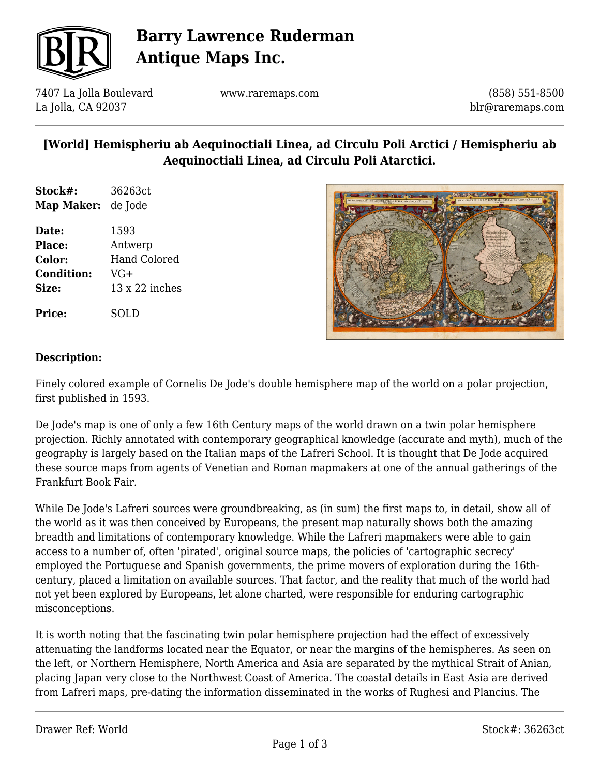

# **Barry Lawrence Ruderman Antique Maps Inc.**

7407 La Jolla Boulevard La Jolla, CA 92037

www.raremaps.com

(858) 551-8500 blr@raremaps.com

### **[World] Hemispheriu ab Aequinoctiali Linea, ad Circulu Poli Arctici / Hemispheriu ab Aequinoctiali Linea, ad Circulu Poli Atarctici.**

| Stock#:                   | 36263ct |
|---------------------------|---------|
| <b>Map Maker:</b> de Jode |         |

**Date:** 1593 **Place:** Antwerp **Color:** Hand Colored **Condition:** VG+ **Size:** 13 x 22 inches

**Price:** SOLD



#### **Description:**

Finely colored example of Cornelis De Jode's double hemisphere map of the world on a polar projection, first published in 1593.

De Jode's map is one of only a few 16th Century maps of the world drawn on a twin polar hemisphere projection. Richly annotated with contemporary geographical knowledge (accurate and myth), much of the geography is largely based on the Italian maps of the Lafreri School. It is thought that De Jode acquired these source maps from agents of Venetian and Roman mapmakers at one of the annual gatherings of the Frankfurt Book Fair.

While De Jode's Lafreri sources were groundbreaking, as (in sum) the first maps to, in detail, show all of the world as it was then conceived by Europeans, the present map naturally shows both the amazing breadth and limitations of contemporary knowledge. While the Lafreri mapmakers were able to gain access to a number of, often 'pirated', original source maps, the policies of 'cartographic secrecy' employed the Portuguese and Spanish governments, the prime movers of exploration during the 16thcentury, placed a limitation on available sources. That factor, and the reality that much of the world had not yet been explored by Europeans, let alone charted, were responsible for enduring cartographic misconceptions.

It is worth noting that the fascinating twin polar hemisphere projection had the effect of excessively attenuating the landforms located near the Equator, or near the margins of the hemispheres. As seen on the left, or Northern Hemisphere, North America and Asia are separated by the mythical Strait of Anian, placing Japan very close to the Northwest Coast of America. The coastal details in East Asia are derived from Lafreri maps, pre-dating the information disseminated in the works of Rughesi and Plancius. The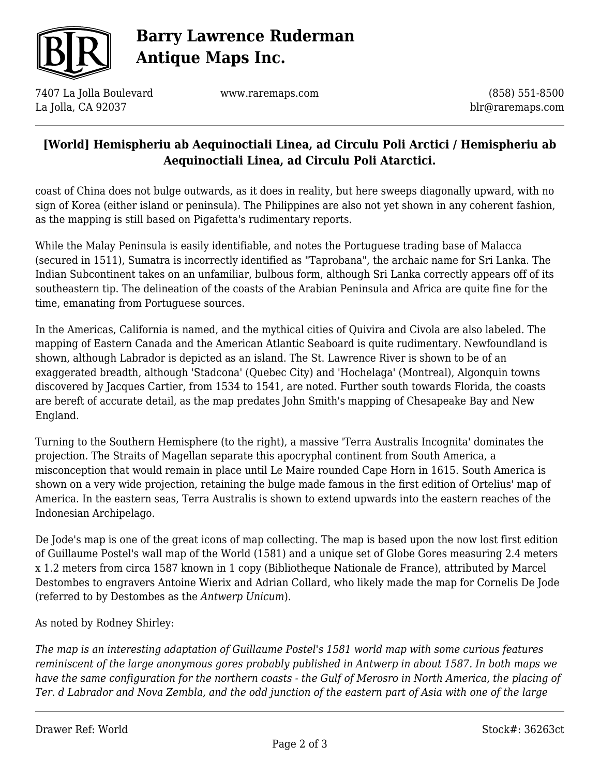

# **Barry Lawrence Ruderman Antique Maps Inc.**

7407 La Jolla Boulevard La Jolla, CA 92037

www.raremaps.com

(858) 551-8500 blr@raremaps.com

#### **[World] Hemispheriu ab Aequinoctiali Linea, ad Circulu Poli Arctici / Hemispheriu ab Aequinoctiali Linea, ad Circulu Poli Atarctici.**

coast of China does not bulge outwards, as it does in reality, but here sweeps diagonally upward, with no sign of Korea (either island or peninsula). The Philippines are also not yet shown in any coherent fashion, as the mapping is still based on Pigafetta's rudimentary reports.

While the Malay Peninsula is easily identifiable, and notes the Portuguese trading base of Malacca (secured in 1511), Sumatra is incorrectly identified as "Taprobana", the archaic name for Sri Lanka. The Indian Subcontinent takes on an unfamiliar, bulbous form, although Sri Lanka correctly appears off of its southeastern tip. The delineation of the coasts of the Arabian Peninsula and Africa are quite fine for the time, emanating from Portuguese sources.

In the Americas, California is named, and the mythical cities of Quivira and Civola are also labeled. The mapping of Eastern Canada and the American Atlantic Seaboard is quite rudimentary. Newfoundland is shown, although Labrador is depicted as an island. The St. Lawrence River is shown to be of an exaggerated breadth, although 'Stadcona' (Quebec City) and 'Hochelaga' (Montreal), Algonquin towns discovered by Jacques Cartier, from 1534 to 1541, are noted. Further south towards Florida, the coasts are bereft of accurate detail, as the map predates John Smith's mapping of Chesapeake Bay and New England.

Turning to the Southern Hemisphere (to the right), a massive 'Terra Australis Incognita' dominates the projection. The Straits of Magellan separate this apocryphal continent from South America, a misconception that would remain in place until Le Maire rounded Cape Horn in 1615. South America is shown on a very wide projection, retaining the bulge made famous in the first edition of Ortelius' map of America. In the eastern seas, Terra Australis is shown to extend upwards into the eastern reaches of the Indonesian Archipelago.

De Jode's map is one of the great icons of map collecting. The map is based upon the now lost first edition of Guillaume Postel's wall map of the World (1581) and a unique set of Globe Gores measuring 2.4 meters x 1.2 meters from circa 1587 known in 1 copy (Bibliotheque Nationale de France), attributed by Marcel Destombes to engravers Antoine Wierix and Adrian Collard, who likely made the map for Cornelis De Jode (referred to by Destombes as the *Antwerp Unicum*).

As noted by Rodney Shirley:

*The map is an interesting adaptation of Guillaume Postel's 1581 world map with some curious features reminiscent of the large anonymous gores probably published in Antwerp in about 1587. In both maps we have the same configuration for the northern coasts - the Gulf of Merosro in North America, the placing of Ter. d Labrador and Nova Zembla, and the odd junction of the eastern part of Asia with one of the large*